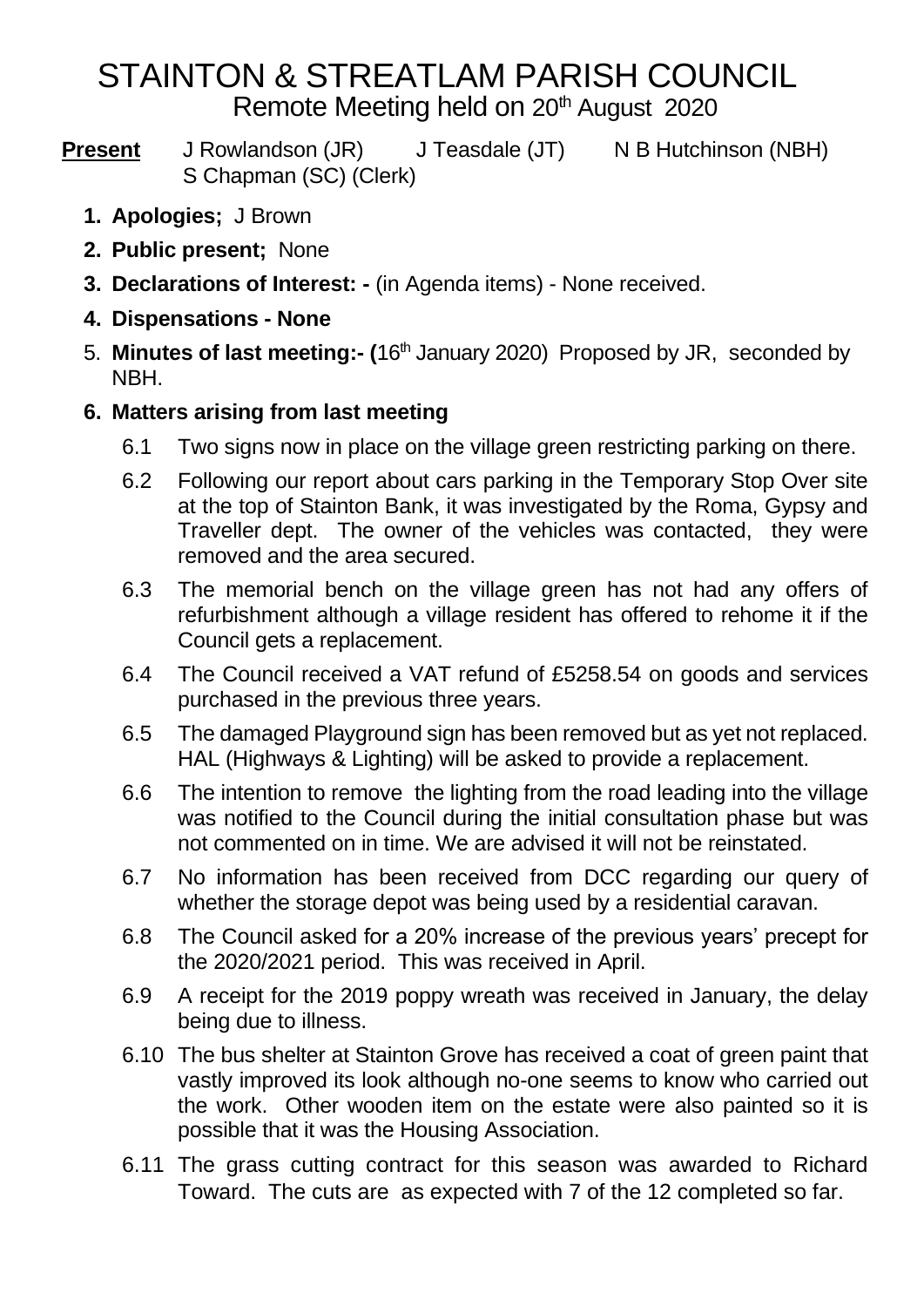# STAINTON & STREATLAM PARISH COUNCIL Remote Meeting held on 20<sup>th</sup> August 2020

**Present** J Rowlandson (JR) J Teasdale (JT) N B Hutchinson (NBH) S Chapman (SC) (Clerk)

- **1. Apologies;** J Brown
- **2. Public present;** None
- **3. Declarations of Interest: -** (in Agenda items) None received.
- **4. Dispensations - None**
- 5. **Minutes of last meeting:- (**16th January 2020) Proposed by JR, seconded by NBH.

#### **6. Matters arising from last meeting**

- 6.1 Two signs now in place on the village green restricting parking on there.
- 6.2 Following our report about cars parking in the Temporary Stop Over site at the top of Stainton Bank, it was investigated by the Roma, Gypsy and Traveller dept. The owner of the vehicles was contacted, they were removed and the area secured.
- 6.3 The memorial bench on the village green has not had any offers of refurbishment although a village resident has offered to rehome it if the Council gets a replacement.
- 6.4 The Council received a VAT refund of £5258.54 on goods and services purchased in the previous three years.
- 6.5 The damaged Playground sign has been removed but as yet not replaced. HAL (Highways & Lighting) will be asked to provide a replacement.
- 6.6 The intention to remove the lighting from the road leading into the village was notified to the Council during the initial consultation phase but was not commented on in time. We are advised it will not be reinstated.
- 6.7 No information has been received from DCC regarding our query of whether the storage depot was being used by a residential caravan.
- 6.8 The Council asked for a 20% increase of the previous years' precept for the 2020/2021 period. This was received in April.
- 6.9 A receipt for the 2019 poppy wreath was received in January, the delay being due to illness.
- 6.10 The bus shelter at Stainton Grove has received a coat of green paint that vastly improved its look although no-one seems to know who carried out the work. Other wooden item on the estate were also painted so it is possible that it was the Housing Association.
- 6.11 The grass cutting contract for this season was awarded to Richard Toward. The cuts are as expected with 7 of the 12 completed so far.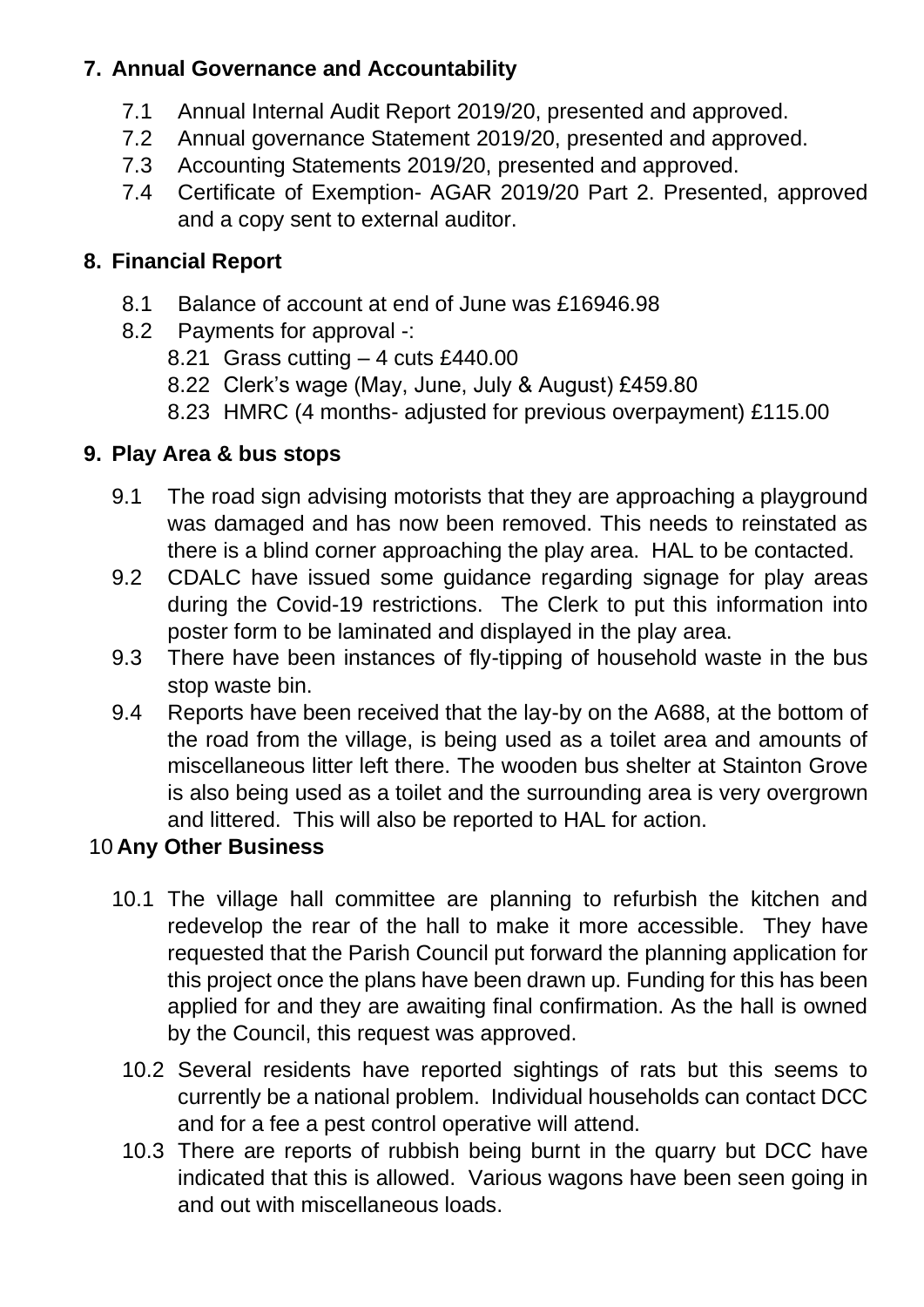# **7. Annual Governance and Accountability**

- 7.1 Annual Internal Audit Report 2019/20, presented and approved.
- 7.2 Annual governance Statement 2019/20, presented and approved.
- 7.3 Accounting Statements 2019/20, presented and approved.
- 7.4 Certificate of Exemption- AGAR 2019/20 Part 2. Presented, approved and a copy sent to external auditor.

## **8. Financial Report**

- 8.1 Balance of account at end of June was £16946.98
- 8.2 Payments for approval -:
	- 8.21 Grass cutting 4 cuts £440.00
	- 8.22 Clerk's wage (May, June, July & August) £459.80
	- 8.23 HMRC (4 months- adjusted for previous overpayment) £115.00

# **9. Play Area & bus stops**

- 9.1 The road sign advising motorists that they are approaching a playground was damaged and has now been removed. This needs to reinstated as there is a blind corner approaching the play area. HAL to be contacted.
- 9.2 CDALC have issued some guidance regarding signage for play areas during the Covid-19 restrictions. The Clerk to put this information into poster form to be laminated and displayed in the play area.
- 9.3 There have been instances of fly-tipping of household waste in the bus stop waste bin.
- 9.4 Reports have been received that the lay-by on the A688, at the bottom of the road from the village, is being used as a toilet area and amounts of miscellaneous litter left there. The wooden bus shelter at Stainton Grove is also being used as a toilet and the surrounding area is very overgrown and littered. This will also be reported to HAL for action.

# 10 **Any Other Business**

- 10.1 The village hall committee are planning to refurbish the kitchen and redevelop the rear of the hall to make it more accessible. They have requested that the Parish Council put forward the planning application for this project once the plans have been drawn up. Funding for this has been applied for and they are awaiting final confirmation. As the hall is owned by the Council, this request was approved.
	- 10.2 Several residents have reported sightings of rats but this seems to currently be a national problem. Individual households can contact DCC and for a fee a pest control operative will attend.
	- 10.3 There are reports of rubbish being burnt in the quarry but DCC have indicated that this is allowed. Various wagons have been seen going in and out with miscellaneous loads.